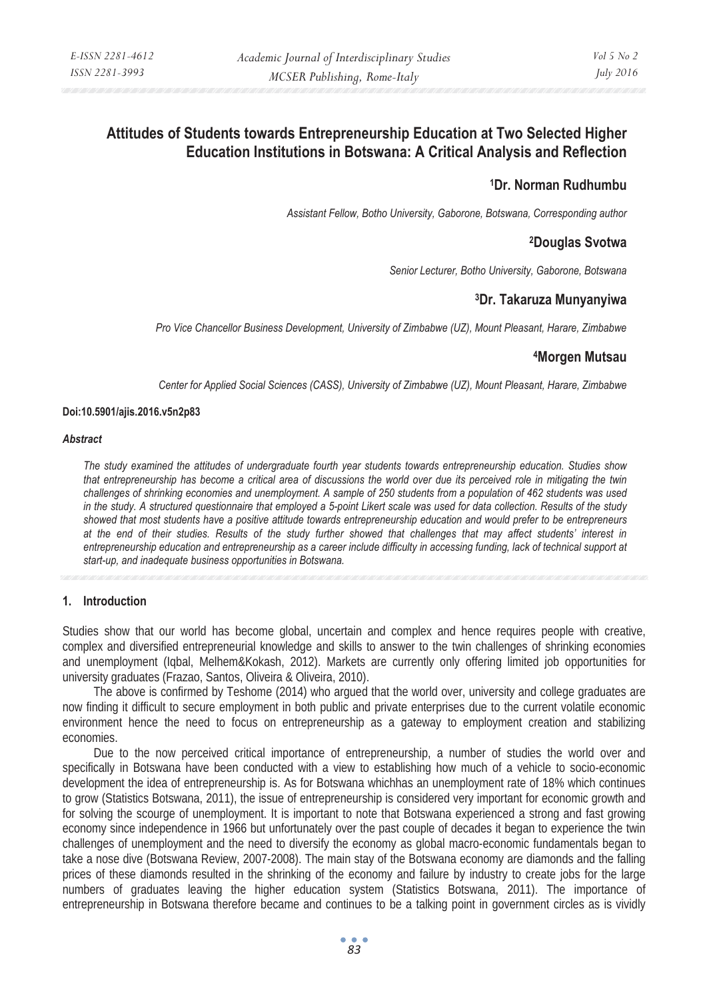# **Attitudes of Students towards Entrepreneurship Education at Two Selected Higher Education Institutions in Botswana: A Critical Analysis and Reflection**

## **1Dr. Norman Rudhumbu**

*Assistant Fellow, Botho University, Gaborone, Botswana, Corresponding author* 

## **2Douglas Svotwa**

*Senior Lecturer, Botho University, Gaborone, Botswana* 

## **3Dr. Takaruza Munyanyiwa**

*Pro Vice Chancellor Business Development, University of Zimbabwe (UZ), Mount Pleasant, Harare, Zimbabwe* 

## **4Morgen Mutsau**

*Center for Applied Social Sciences (CASS), University of Zimbabwe (UZ), Mount Pleasant, Harare, Zimbabwe* 

#### **Doi:10.5901/ajis.2016.v5n2p83**

#### *Abstract*

*The study examined the attitudes of undergraduate fourth year students towards entrepreneurship education. Studies show that entrepreneurship has become a critical area of discussions the world over due its perceived role in mitigating the twin challenges of shrinking economies and unemployment. A sample of 250 students from a population of 462 students was used in the study. A structured questionnaire that employed a 5-point Likert scale was used for data collection. Results of the study showed that most students have a positive attitude towards entrepreneurship education and would prefer to be entrepreneurs at the end of their studies. Results of the study further showed that challenges that may affect students' interest in entrepreneurship education and entrepreneurship as a career include difficulty in accessing funding, lack of technical support at start-up, and inadequate business opportunities in Botswana.* 

## **1. Introduction**

Studies show that our world has become global, uncertain and complex and hence requires people with creative, complex and diversified entrepreneurial knowledge and skills to answer to the twin challenges of shrinking economies and unemployment (Iqbal, Melhem&Kokash, 2012). Markets are currently only offering limited job opportunities for university graduates (Frazao, Santos, Oliveira & Oliveira, 2010).

The above is confirmed by Teshome (2014) who argued that the world over, university and college graduates are now finding it difficult to secure employment in both public and private enterprises due to the current volatile economic environment hence the need to focus on entrepreneurship as a gateway to employment creation and stabilizing economies.

Due to the now perceived critical importance of entrepreneurship, a number of studies the world over and specifically in Botswana have been conducted with a view to establishing how much of a vehicle to socio-economic development the idea of entrepreneurship is. As for Botswana whichhas an unemployment rate of 18% which continues to grow (Statistics Botswana, 2011), the issue of entrepreneurship is considered very important for economic growth and for solving the scourge of unemployment. It is important to note that Botswana experienced a strong and fast growing economy since independence in 1966 but unfortunately over the past couple of decades it began to experience the twin challenges of unemployment and the need to diversify the economy as global macro-economic fundamentals began to take a nose dive (Botswana Review, 2007-2008). The main stay of the Botswana economy are diamonds and the falling prices of these diamonds resulted in the shrinking of the economy and failure by industry to create jobs for the large numbers of graduates leaving the higher education system (Statistics Botswana, 2011). The importance of entrepreneurship in Botswana therefore became and continues to be a talking point in government circles as is vividly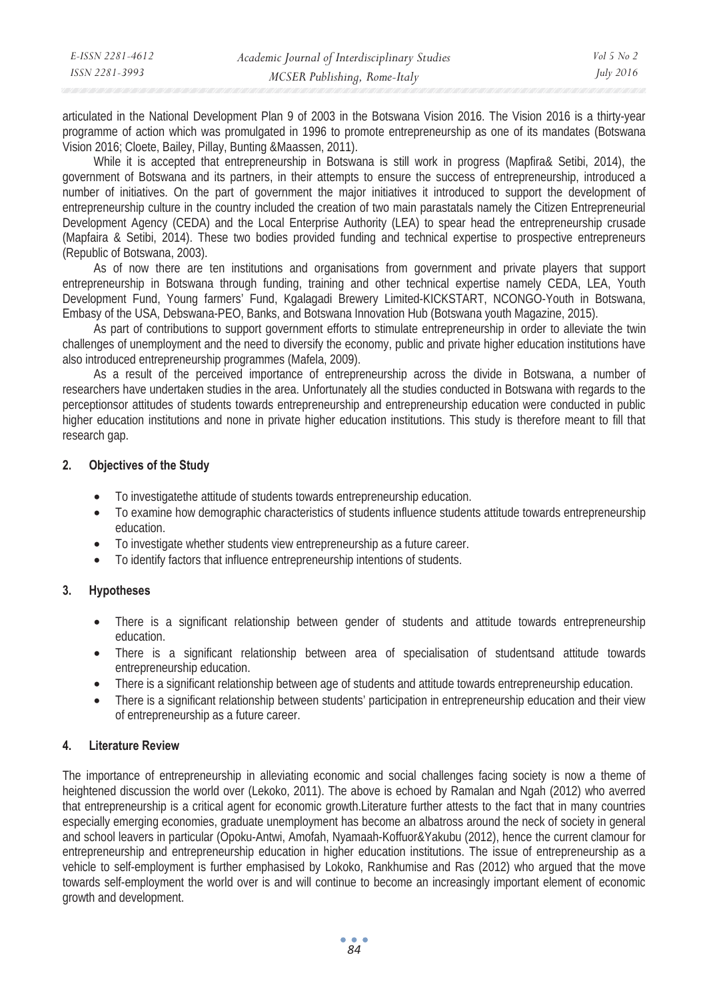| E-ISSN 2281-4612 | Academic Journal of Interdisciplinary Studies | Vol 5 No 2       |
|------------------|-----------------------------------------------|------------------|
| ISSN 2281-3993   | MCSER Publishing, Rome-Italy                  | <i>July 2016</i> |
|                  |                                               |                  |

articulated in the National Development Plan 9 of 2003 in the Botswana Vision 2016. The Vision 2016 is a thirty-year programme of action which was promulgated in 1996 to promote entrepreneurship as one of its mandates (Botswana Vision 2016; Cloete, Bailey, Pillay, Bunting &Maassen, 2011).

While it is accepted that entrepreneurship in Botswana is still work in progress (Mapfira& Setibi, 2014), the government of Botswana and its partners, in their attempts to ensure the success of entrepreneurship, introduced a number of initiatives. On the part of government the major initiatives it introduced to support the development of entrepreneurship culture in the country included the creation of two main parastatals namely the Citizen Entrepreneurial Development Agency (CEDA) and the Local Enterprise Authority (LEA) to spear head the entrepreneurship crusade (Mapfaira & Setibi, 2014). These two bodies provided funding and technical expertise to prospective entrepreneurs (Republic of Botswana, 2003).

As of now there are ten institutions and organisations from government and private players that support entrepreneurship in Botswana through funding, training and other technical expertise namely CEDA, LEA, Youth Development Fund, Young farmers' Fund, Kgalagadi Brewery Limited-KICKSTART, NCONGO-Youth in Botswana, Embasy of the USA, Debswana-PEO, Banks, and Botswana Innovation Hub (Botswana youth Magazine, 2015).

As part of contributions to support government efforts to stimulate entrepreneurship in order to alleviate the twin challenges of unemployment and the need to diversify the economy, public and private higher education institutions have also introduced entrepreneurship programmes (Mafela, 2009).

As a result of the perceived importance of entrepreneurship across the divide in Botswana, a number of researchers have undertaken studies in the area. Unfortunately all the studies conducted in Botswana with regards to the perceptionsor attitudes of students towards entrepreneurship and entrepreneurship education were conducted in public higher education institutions and none in private higher education institutions. This study is therefore meant to fill that research gap.

#### **2. Objectives of the Study**

- To investigatethe attitude of students towards entrepreneurship education.
- To examine how demographic characteristics of students influence students attitude towards entrepreneurship education.
- To investigate whether students view entrepreneurship as a future career.
- To identify factors that influence entrepreneurship intentions of students.

## **3. Hypotheses**

- There is a significant relationship between gender of students and attitude towards entrepreneurship education.
- There is a significant relationship between area of specialisation of studentsand attitude towards entrepreneurship education.
- There is a significant relationship between age of students and attitude towards entrepreneurship education.
- There is a significant relationship between students' participation in entrepreneurship education and their view of entrepreneurship as a future career.

#### **4. Literature Review**

The importance of entrepreneurship in alleviating economic and social challenges facing society is now a theme of heightened discussion the world over (Lekoko, 2011). The above is echoed by Ramalan and Ngah (2012) who averred that entrepreneurship is a critical agent for economic growth.Literature further attests to the fact that in many countries especially emerging economies, graduate unemployment has become an albatross around the neck of society in general and school leavers in particular (Opoku-Antwi, Amofah, Nyamaah-Koffuor&Yakubu (2012), hence the current clamour for entrepreneurship and entrepreneurship education in higher education institutions. The issue of entrepreneurship as a vehicle to self-employment is further emphasised by Lokoko, Rankhumise and Ras (2012) who argued that the move towards self-employment the world over is and will continue to become an increasingly important element of economic growth and development.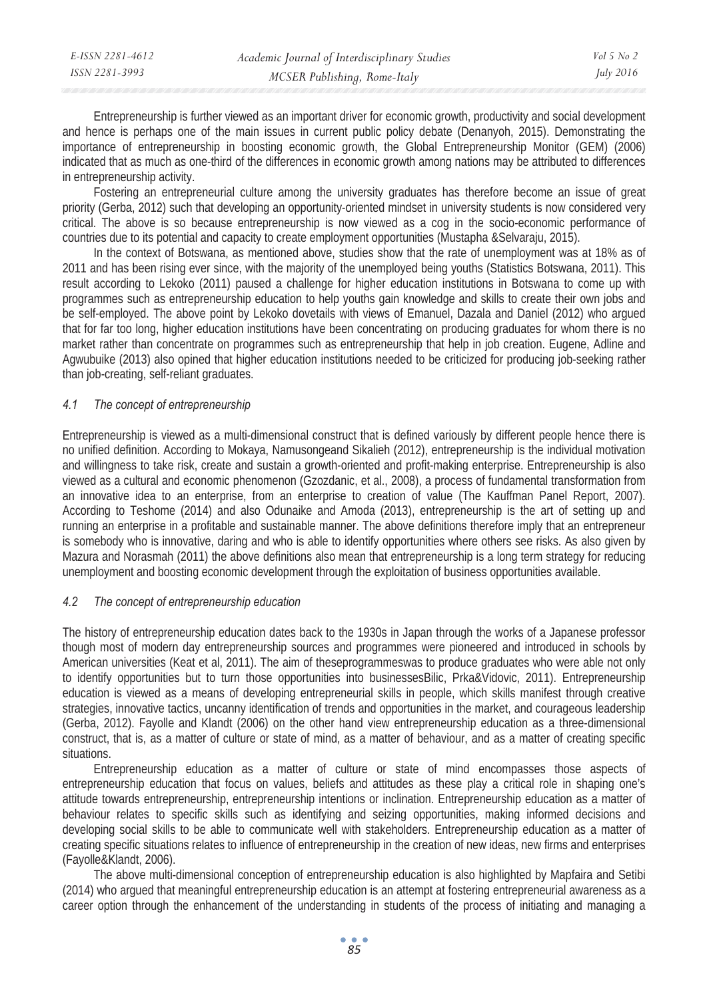Entrepreneurship is further viewed as an important driver for economic growth, productivity and social development and hence is perhaps one of the main issues in current public policy debate (Denanyoh, 2015). Demonstrating the importance of entrepreneurship in boosting economic growth, the Global Entrepreneurship Monitor (GEM) (2006) indicated that as much as one-third of the differences in economic growth among nations may be attributed to differences in entrepreneurship activity.

Fostering an entrepreneurial culture among the university graduates has therefore become an issue of great priority (Gerba, 2012) such that developing an opportunity-oriented mindset in university students is now considered very critical. The above is so because entrepreneurship is now viewed as a cog in the socio-economic performance of countries due to its potential and capacity to create employment opportunities (Mustapha &Selvaraju, 2015).

In the context of Botswana, as mentioned above, studies show that the rate of unemployment was at 18% as of 2011 and has been rising ever since, with the majority of the unemployed being youths (Statistics Botswana, 2011). This result according to Lekoko (2011) paused a challenge for higher education institutions in Botswana to come up with programmes such as entrepreneurship education to help youths gain knowledge and skills to create their own jobs and be self-employed. The above point by Lekoko dovetails with views of Emanuel, Dazala and Daniel (2012) who argued that for far too long, higher education institutions have been concentrating on producing graduates for whom there is no market rather than concentrate on programmes such as entrepreneurship that help in job creation. Eugene, Adline and Agwubuike (2013) also opined that higher education institutions needed to be criticized for producing job-seeking rather than job-creating, self-reliant graduates.

## *4.1 The concept of entrepreneurship*

Entrepreneurship is viewed as a multi-dimensional construct that is defined variously by different people hence there is no unified definition. According to Mokaya, Namusongeand Sikalieh (2012), entrepreneurship is the individual motivation and willingness to take risk, create and sustain a growth-oriented and profit-making enterprise. Entrepreneurship is also viewed as a cultural and economic phenomenon (Gzozdanic, et al., 2008), a process of fundamental transformation from an innovative idea to an enterprise, from an enterprise to creation of value (The Kauffman Panel Report, 2007). According to Teshome (2014) and also Odunaike and Amoda (2013), entrepreneurship is the art of setting up and running an enterprise in a profitable and sustainable manner. The above definitions therefore imply that an entrepreneur is somebody who is innovative, daring and who is able to identify opportunities where others see risks. As also given by Mazura and Norasmah (2011) the above definitions also mean that entrepreneurship is a long term strategy for reducing unemployment and boosting economic development through the exploitation of business opportunities available.

#### *4.2 The concept of entrepreneurship education*

The history of entrepreneurship education dates back to the 1930s in Japan through the works of a Japanese professor though most of modern day entrepreneurship sources and programmes were pioneered and introduced in schools by American universities (Keat et al, 2011). The aim of theseprogrammeswas to produce graduates who were able not only to identify opportunities but to turn those opportunities into businessesBilic, Prka&Vidovic, 2011). Entrepreneurship education is viewed as a means of developing entrepreneurial skills in people, which skills manifest through creative strategies, innovative tactics, uncanny identification of trends and opportunities in the market, and courageous leadership (Gerba, 2012). Fayolle and Klandt (2006) on the other hand view entrepreneurship education as a three-dimensional construct, that is, as a matter of culture or state of mind, as a matter of behaviour, and as a matter of creating specific situations.

Entrepreneurship education as a matter of culture or state of mind encompasses those aspects of entrepreneurship education that focus on values, beliefs and attitudes as these play a critical role in shaping one's attitude towards entrepreneurship, entrepreneurship intentions or inclination. Entrepreneurship education as a matter of behaviour relates to specific skills such as identifying and seizing opportunities, making informed decisions and developing social skills to be able to communicate well with stakeholders. Entrepreneurship education as a matter of creating specific situations relates to influence of entrepreneurship in the creation of new ideas, new firms and enterprises (Fayolle&Klandt, 2006).

The above multi-dimensional conception of entrepreneurship education is also highlighted by Mapfaira and Setibi (2014) who argued that meaningful entrepreneurship education is an attempt at fostering entrepreneurial awareness as a career option through the enhancement of the understanding in students of the process of initiating and managing a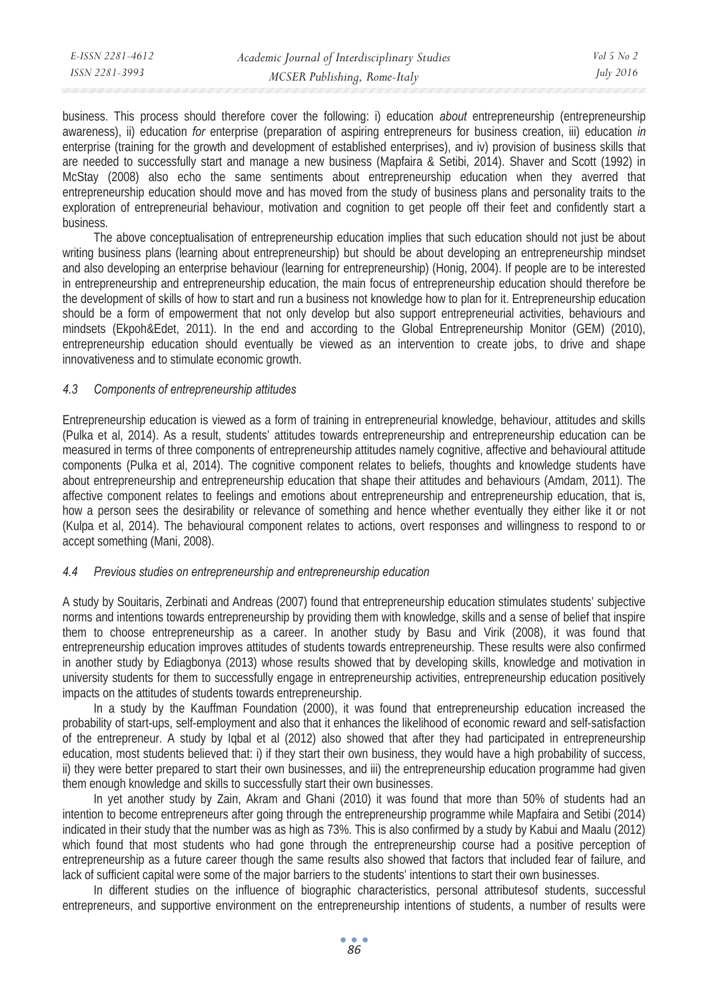| E-ISSN 2281-4612 | Academic Journal of Interdisciplinary Studies | Vol 5 No 2       |
|------------------|-----------------------------------------------|------------------|
| ISSN 2281-3993   | MCSER Publishing, Rome-Italy                  | <i>July 2016</i> |
|                  |                                               |                  |

business. This process should therefore cover the following: i) education *about* entrepreneurship (entrepreneurship awareness), ii) education *for* enterprise (preparation of aspiring entrepreneurs for business creation, iii) education *in* enterprise (training for the growth and development of established enterprises), and iv) provision of business skills that are needed to successfully start and manage a new business (Mapfaira & Setibi, 2014). Shaver and Scott (1992) in McStay (2008) also echo the same sentiments about entrepreneurship education when they averred that entrepreneurship education should move and has moved from the study of business plans and personality traits to the exploration of entrepreneurial behaviour, motivation and cognition to get people off their feet and confidently start a business.

The above conceptualisation of entrepreneurship education implies that such education should not just be about writing business plans (learning about entrepreneurship) but should be about developing an entrepreneurship mindset and also developing an enterprise behaviour (learning for entrepreneurship) (Honig, 2004). If people are to be interested in entrepreneurship and entrepreneurship education, the main focus of entrepreneurship education should therefore be the development of skills of how to start and run a business not knowledge how to plan for it. Entrepreneurship education should be a form of empowerment that not only develop but also support entrepreneurial activities, behaviours and mindsets (Ekpoh&Edet, 2011). In the end and according to the Global Entrepreneurship Monitor (GEM) (2010), entrepreneurship education should eventually be viewed as an intervention to create jobs, to drive and shape innovativeness and to stimulate economic growth.

#### *4.3 Components of entrepreneurship attitudes*

Entrepreneurship education is viewed as a form of training in entrepreneurial knowledge, behaviour, attitudes and skills (Pulka et al, 2014). As a result, students' attitudes towards entrepreneurship and entrepreneurship education can be measured in terms of three components of entrepreneurship attitudes namely cognitive, affective and behavioural attitude components (Pulka et al, 2014). The cognitive component relates to beliefs, thoughts and knowledge students have about entrepreneurship and entrepreneurship education that shape their attitudes and behaviours (Amdam, 2011). The affective component relates to feelings and emotions about entrepreneurship and entrepreneurship education, that is, how a person sees the desirability or relevance of something and hence whether eventually they either like it or not (Kulpa et al, 2014). The behavioural component relates to actions, overt responses and willingness to respond to or accept something (Mani, 2008).

#### *4.4 Previous studies on entrepreneurship and entrepreneurship education*

A study by Souitaris, Zerbinati and Andreas (2007) found that entrepreneurship education stimulates students' subjective norms and intentions towards entrepreneurship by providing them with knowledge, skills and a sense of belief that inspire them to choose entrepreneurship as a career. In another study by Basu and Virik (2008), it was found that entrepreneurship education improves attitudes of students towards entrepreneurship. These results were also confirmed in another study by Ediagbonya (2013) whose results showed that by developing skills, knowledge and motivation in university students for them to successfully engage in entrepreneurship activities, entrepreneurship education positively impacts on the attitudes of students towards entrepreneurship.

In a study by the Kauffman Foundation (2000), it was found that entrepreneurship education increased the probability of start-ups, self-employment and also that it enhances the likelihood of economic reward and self-satisfaction of the entrepreneur. A study by Iqbal et al (2012) also showed that after they had participated in entrepreneurship education, most students believed that: i) if they start their own business, they would have a high probability of success, ii) they were better prepared to start their own businesses, and iii) the entrepreneurship education programme had given them enough knowledge and skills to successfully start their own businesses.

In yet another study by Zain, Akram and Ghani (2010) it was found that more than 50% of students had an intention to become entrepreneurs after going through the entrepreneurship programme while Mapfaira and Setibi (2014) indicated in their study that the number was as high as 73%. This is also confirmed by a study by Kabui and Maalu (2012) which found that most students who had gone through the entrepreneurship course had a positive perception of entrepreneurship as a future career though the same results also showed that factors that included fear of failure, and lack of sufficient capital were some of the major barriers to the students' intentions to start their own businesses.

In different studies on the influence of biographic characteristics, personal attributesof students, successful entrepreneurs, and supportive environment on the entrepreneurship intentions of students, a number of results were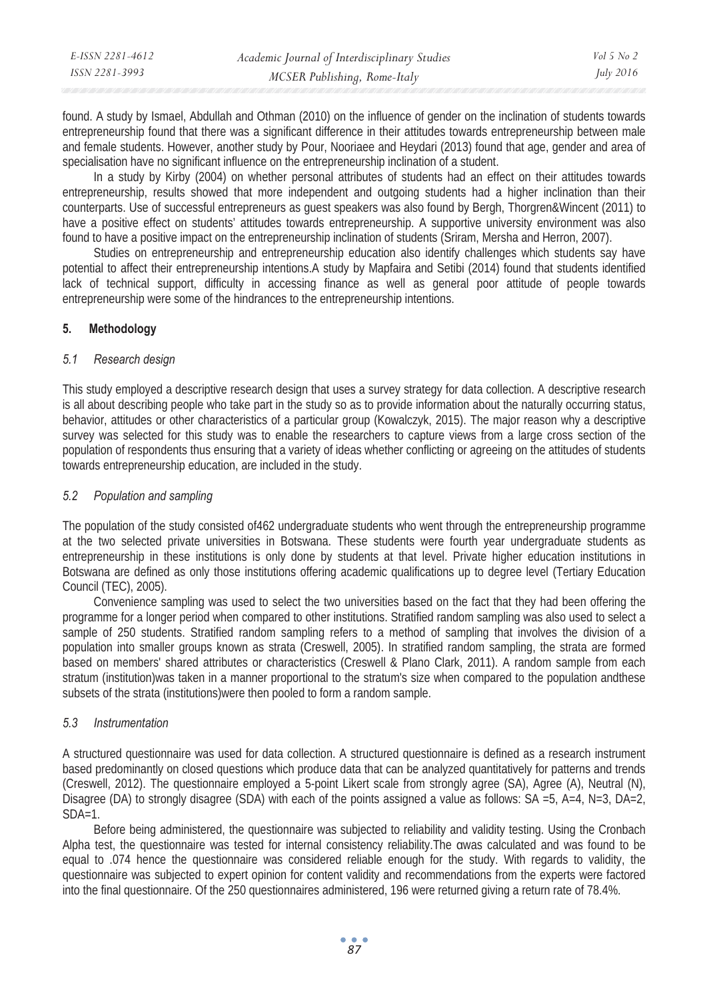| E-ISSN 2281-4612 | Academic Journal of Interdisciplinary Studies | $Vol_5$ No. 2    |
|------------------|-----------------------------------------------|------------------|
| ISSN 2281-3993   | MCSER Publishing, Rome-Italy                  | <i>July 2016</i> |

found. A study by Ismael, Abdullah and Othman (2010) on the influence of gender on the inclination of students towards entrepreneurship found that there was a significant difference in their attitudes towards entrepreneurship between male and female students. However, another study by Pour, Nooriaee and Heydari (2013) found that age, gender and area of specialisation have no significant influence on the entrepreneurship inclination of a student.

In a study by Kirby (2004) on whether personal attributes of students had an effect on their attitudes towards entrepreneurship, results showed that more independent and outgoing students had a higher inclination than their counterparts. Use of successful entrepreneurs as guest speakers was also found by Bergh, Thorgren&Wincent (2011) to have a positive effect on students' attitudes towards entrepreneurship. A supportive university environment was also found to have a positive impact on the entrepreneurship inclination of students (Sriram, Mersha and Herron, 2007).

Studies on entrepreneurship and entrepreneurship education also identify challenges which students say have potential to affect their entrepreneurship intentions.A study by Mapfaira and Setibi (2014) found that students identified lack of technical support, difficulty in accessing finance as well as general poor attitude of people towards entrepreneurship were some of the hindrances to the entrepreneurship intentions.

#### **5. Methodology**

## *5.1 Research design*

This study employed a descriptive research design that uses a survey strategy for data collection. A descriptive research is all about describing people who take part in the study so as to provide information about the naturally occurring status, behavior, attitudes or other characteristics of a particular group (Kowalczyk, 2015). The major reason why a descriptive survey was selected for this study was to enable the researchers to capture views from a large cross section of the population of respondents thus ensuring that a variety of ideas whether conflicting or agreeing on the attitudes of students towards entrepreneurship education, are included in the study.

## *5.2 Population and sampling*

The population of the study consisted of462 undergraduate students who went through the entrepreneurship programme at the two selected private universities in Botswana. These students were fourth year undergraduate students as entrepreneurship in these institutions is only done by students at that level. Private higher education institutions in Botswana are defined as only those institutions offering academic qualifications up to degree level (Tertiary Education Council (TEC), 2005).

Convenience sampling was used to select the two universities based on the fact that they had been offering the programme for a longer period when compared to other institutions. Stratified random sampling was also used to select a sample of 250 students. Stratified random sampling refers to a method of sampling that involves the division of a population into smaller groups known as strata (Creswell, 2005). In stratified random sampling, the strata are formed based on members' shared attributes or characteristics (Creswell & Plano Clark, 2011). A random sample from each stratum (institution)was taken in a manner proportional to the stratum's size when compared to the population andthese subsets of the strata (institutions)were then pooled to form a random sample.

## *5.3 Instrumentation*

A structured questionnaire was used for data collection. A structured questionnaire is defined as a research instrument based predominantly on closed questions which produce data that can be analyzed quantitatively for patterns and trends (Creswell, 2012). The questionnaire employed a 5-point Likert scale from strongly agree (SA), Agree (A), Neutral (N), Disagree (DA) to strongly disagree (SDA) with each of the points assigned a value as follows:  $SA = 5$ ,  $A = 4$ ,  $N = 3$ ,  $DA = 2$ ,  $SDA=1$ 

Before being administered, the questionnaire was subjected to reliability and validity testing. Using the Cronbach Alpha test, the questionnaire was tested for internal consistency reliability. The awas calculated and was found to be equal to .074 hence the questionnaire was considered reliable enough for the study. With regards to validity, the questionnaire was subjected to expert opinion for content validity and recommendations from the experts were factored into the final questionnaire. Of the 250 questionnaires administered, 196 were returned giving a return rate of 78.4%.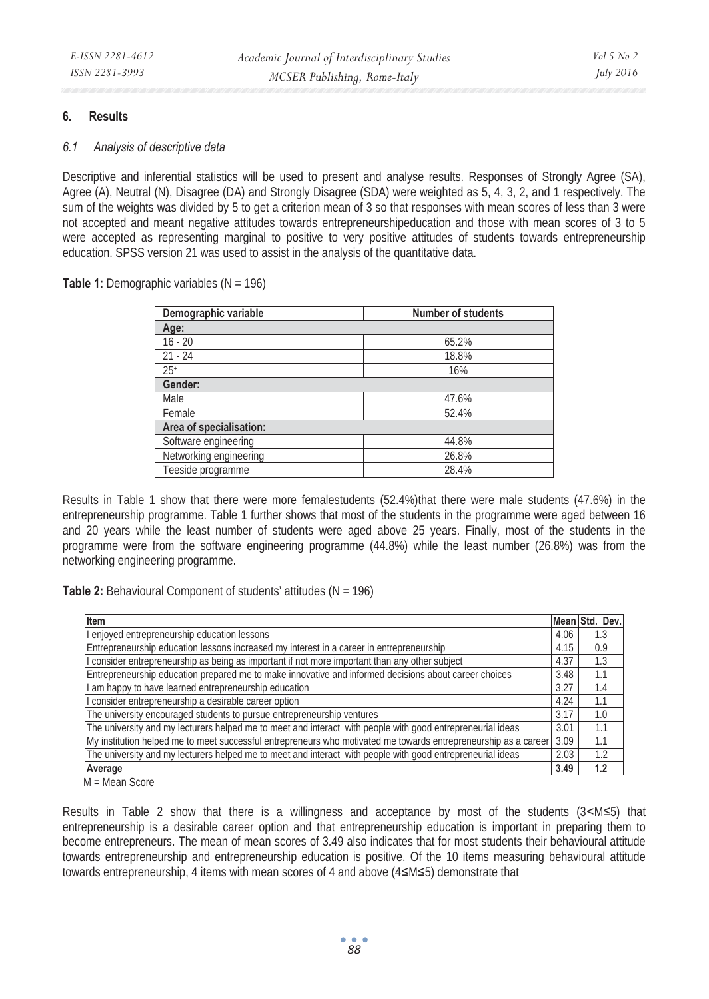## **6. Results**

#### *6.1 Analysis of descriptive data*

Descriptive and inferential statistics will be used to present and analyse results. Responses of Strongly Agree (SA), Agree (A), Neutral (N), Disagree (DA) and Strongly Disagree (SDA) were weighted as 5, 4, 3, 2, and 1 respectively. The sum of the weights was divided by 5 to get a criterion mean of 3 so that responses with mean scores of less than 3 were not accepted and meant negative attitudes towards entrepreneurshipeducation and those with mean scores of 3 to 5 were accepted as representing marginal to positive to very positive attitudes of students towards entrepreneurship education. SPSS version 21 was used to assist in the analysis of the quantitative data.

**Table 1:** Demographic variables (N = 196)

| Demographic variable    | <b>Number of students</b> |
|-------------------------|---------------------------|
| Age:                    |                           |
| $16 - 20$               | 65.2%                     |
| $21 - 24$               | 18.8%                     |
| $25+$                   | 16%                       |
| Gender:                 |                           |
| Male                    | 47.6%                     |
| Female                  | 52.4%                     |
| Area of specialisation: |                           |
| Software engineering    | 44.8%                     |
| Networking engineering  | 26.8%                     |
| Teeside programme       | 28.4%                     |

Results in Table 1 show that there were more femalestudents (52.4%)that there were male students (47.6%) in the entrepreneurship programme. Table 1 further shows that most of the students in the programme were aged between 16 and 20 years while the least number of students were aged above 25 years. Finally, most of the students in the programme were from the software engineering programme (44.8%) while the least number (26.8%) was from the networking engineering programme.

**Table 2:** Behavioural Component of students' attitudes (N = 196)

| Item                                                                                                            | Mean Std. | Dev. |
|-----------------------------------------------------------------------------------------------------------------|-----------|------|
| I enjoyed entrepreneurship education lessons                                                                    | 4.06      | 1.3  |
| Entrepreneurship education lessons increased my interest in a career in entrepreneurship                        | 4.15      | 0.9  |
| I consider entrepreneurship as being as important if not more important than any other subject                  | 4.37      | 1.3  |
| Entrepreneurship education prepared me to make innovative and informed decisions about career choices           | 3.48      | 1.1  |
| I am happy to have learned entrepreneurship education                                                           | 3.27      | 1.4  |
| I consider entrepreneurship a desirable career option                                                           | 4.24      | 1.1  |
| The university encouraged students to pursue entrepreneurship ventures                                          | 3.17      | 1.0  |
| The university and my lecturers helped me to meet and interact with people with good entrepreneurial ideas      | 3.01      | 1.1  |
| My institution helped me to meet successful entrepreneurs who motivated me towards entrepreneurship as a career | 3.09      | 1.1  |
| The university and my lecturers helped me to meet and interact with people with good entrepreneurial ideas      | 2.03      | 1.2  |
| Average                                                                                                         | 3.49      | 1.2  |

M = Mean Score

Results in Table 2 show that there is a willingness and acceptance by most of the students  $(3\leq M\leq 5)$  that entrepreneurship is a desirable career option and that entrepreneurship education is important in preparing them to become entrepreneurs. The mean of mean scores of 3.49 also indicates that for most students their behavioural attitude towards entrepreneurship and entrepreneurship education is positive. Of the 10 items measuring behavioural attitude towards entrepreneurship, 4 items with mean scores of 4 and above  $(4 \le M \le 5)$  demonstrate that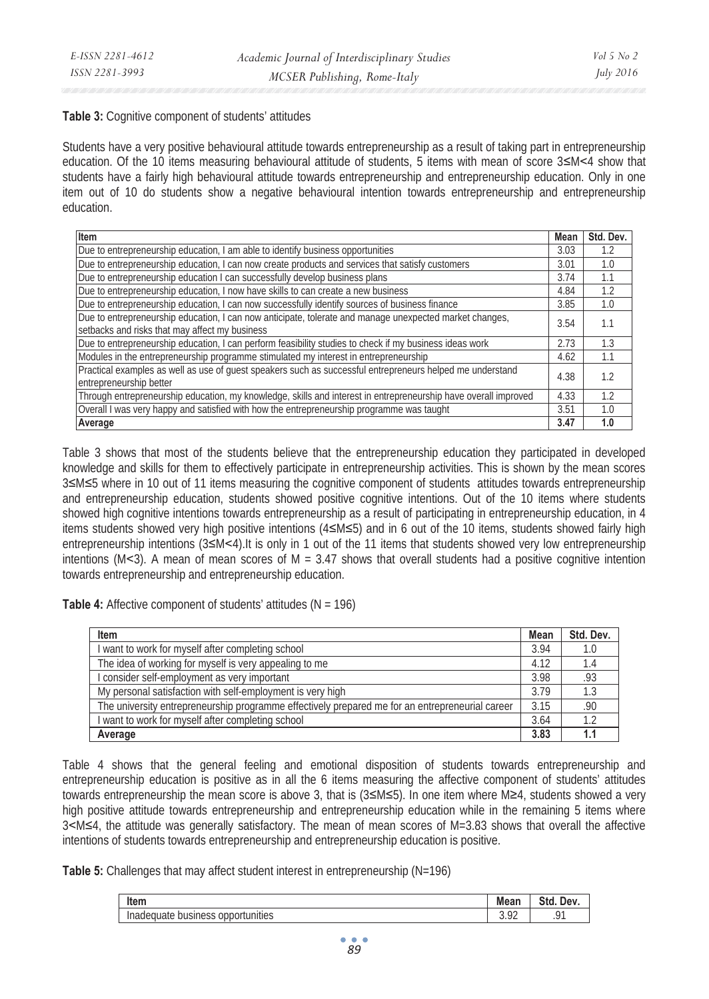#### **Table 3:** Cognitive component of students' attitudes

Students have a very positive behavioural attitude towards entrepreneurship as a result of taking part in entrepreneurship education. Of the 10 items measuring behavioural attitude of students, 5 items with mean of score  $3\leq M < 4$  show that students have a fairly high behavioural attitude towards entrepreneurship and entrepreneurship education. Only in one item out of 10 do students show a negative behavioural intention towards entrepreneurship and entrepreneurship education.

| Item                                                                                                                                                      | Mean | Std. Dev. |
|-----------------------------------------------------------------------------------------------------------------------------------------------------------|------|-----------|
| Due to entrepreneurship education, I am able to identify business opportunities                                                                           | 3.03 | 1.2       |
| Due to entrepreneurship education, I can now create products and services that satisfy customers                                                          | 3.01 | 1.0       |
| Due to entrepreneurship education I can successfully develop business plans                                                                               | 3.74 | 1.1       |
| Due to entrepreneurship education, I now have skills to can create a new business                                                                         | 4.84 | 1.2       |
| Due to entrepreneurship education, I can now successfully identify sources of business finance                                                            | 3.85 | 1.0       |
| Due to entrepreneurship education, I can now anticipate, tolerate and manage unexpected market changes,<br>setbacks and risks that may affect my business | 3.54 | 1.1       |
| Due to entrepreneurship education, I can perform feasibility studies to check if my business ideas work                                                   | 2.73 | 1.3       |
| Modules in the entrepreneurship programme stimulated my interest in entrepreneurship                                                                      | 4.62 | 1.1       |
| Practical examples as well as use of quest speakers such as successful entrepreneurs helped me understand<br>entrepreneurship better                      | 4.38 | 1.2       |
| Through entrepreneurship education, my knowledge, skills and interest in entrepreneurship have overall improved                                           | 4.33 | 1.2       |
| Overall I was very happy and satisfied with how the entrepreneurship programme was taught                                                                 | 3.51 | 1.0       |
| Average                                                                                                                                                   | 3.47 | 1.0       |

Table 3 shows that most of the students believe that the entrepreneurship education they participated in developed knowledge and skills for them to effectively participate in entrepreneurship activities. This is shown by the mean scores 3≤M≤5 where in 10 out of 11 items measuring the cognitive component of students attitudes towards entrepreneurship and entrepreneurship education, students showed positive cognitive intentions. Out of the 10 items where students showed high cognitive intentions towards entrepreneurship as a result of participating in entrepreneurship education, in 4 items students showed very high positive intentions  $(4 \le M \le 5)$  and in 6 out of the 10 items, students showed fairly high entrepreneurship intentions (3≤M<4). It is only in 1 out of the 11 items that students showed very low entrepreneurship intentions ( $M$ <3). A mean of mean scores of  $M = 3.47$  shows that overall students had a positive cognitive intention towards entrepreneurship and entrepreneurship education.

**Table 4:** Affective component of students' attitudes (N = 196)

| Item                                                                                            | Mean | Std. Dev. |
|-------------------------------------------------------------------------------------------------|------|-----------|
| I want to work for myself after completing school                                               | 3.94 |           |
| The idea of working for myself is very appealing to me                                          | 4.12 | 1.4       |
| I consider self-employment as very important                                                    | 3.98 | .93       |
| My personal satisfaction with self-employment is very high                                      | 3.79 |           |
| The university entrepreneurship programme effectively prepared me for an entrepreneurial career | 3.15 | .90       |
| I want to work for myself after completing school                                               | 3.64 | 1.2       |
| Average                                                                                         | 3.83 |           |

Table 4 shows that the general feeling and emotional disposition of students towards entrepreneurship and entrepreneurship education is positive as in all the 6 items measuring the affective component of students' attitudes towards entrepreneurship the mean score is above 3, that is (3≤M≤5). In one item where M≥4, students showed a very high positive attitude towards entrepreneurship and entrepreneurship education while in the remaining 5 items where 3ޒM4, the attitude was generally satisfactory. The mean of mean scores of M=3.83 shows that overall the affective intentions of students towards entrepreneurship and entrepreneurship education is positive.

**Table 5:** Challenges that may affect student interest in entrepreneurship (N=196)

| Item                                                                                 | Mean            | $\sim$<br>Std<br>Dev |
|--------------------------------------------------------------------------------------|-----------------|----------------------|
| <br><br><b>DUSIN</b> e<br>opr<br>tunities<br>. 10 P<br>TZH.<br>. .<br>$\sim$<br>טטטו | $\sim$<br>J. 74 |                      |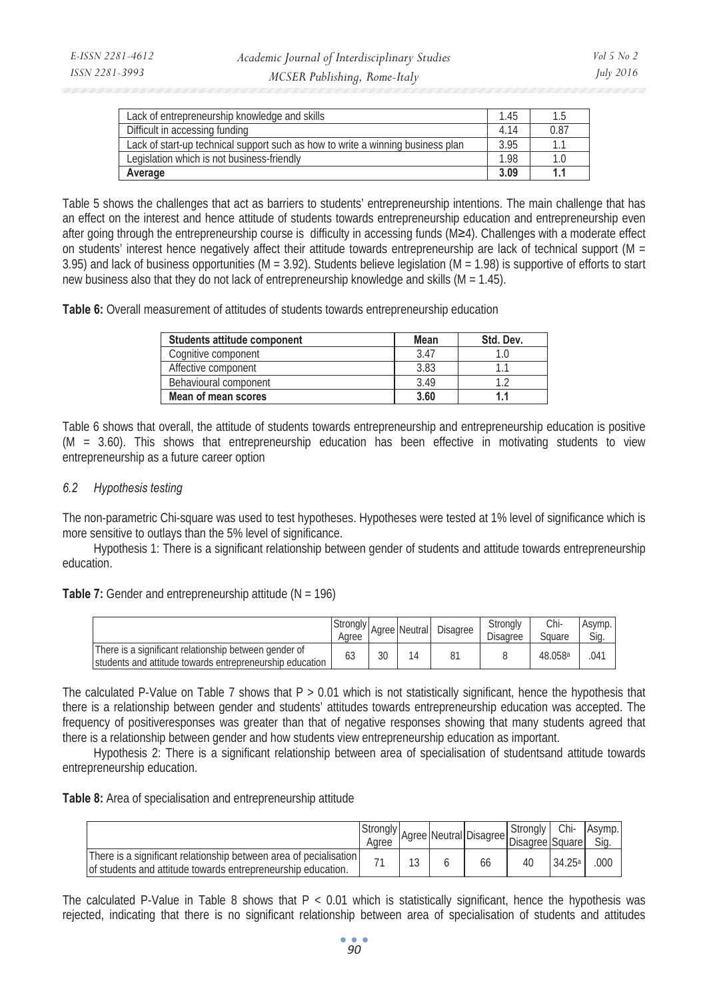| Lack of entrepreneurship knowledge and skills                                   | 1.45 | 1.5            |
|---------------------------------------------------------------------------------|------|----------------|
| Difficult in accessing funding                                                  | 4.14 | 0.87           |
| Lack of start-up technical support such as how to write a winning business plan | 3.95 | 1 <sup>1</sup> |
| Leaislation which is not business-friendly                                      | 1.98 | 1.0            |
| Average                                                                         | 3.09 | 1.             |

Table 5 shows the challenges that act as barriers to students' entrepreneurship intentions. The main challenge that has an effect on the interest and hence attitude of students towards entrepreneurship education and entrepreneurship even after going through the entrepreneurship course is difficulty in accessing funds (M≥4). Challenges with a moderate effect on students' interest hence negatively affect their attitude towards entrepreneurship are lack of technical support (M = 3.95) and lack of business opportunities (M = 3.92). Students believe legislation (M = 1.98) is supportive of efforts to start new business also that they do not lack of entrepreneurship knowledge and skills (M = 1.45).

Table 6: Overall measurement of attitudes of students towards entrepreneurship education

| Students attitude component | Mean | Std. Dev. |
|-----------------------------|------|-----------|
| Cognitive component         | 3.47 |           |
| Affective component         | 3.83 |           |
| Behavioural component       | 3.49 |           |
| Mean of mean scores         | 3.60 |           |

Table 6 shows that overall, the attitude of students towards entrepreneurship and entrepreneurship education is positive (M = 3.60). This shows that entrepreneurship education has been effective in motivating students to view entrepreneurship as a future career option

### *6.2 Hypothesis testing*

The non-parametric Chi-square was used to test hypotheses. Hypotheses were tested at 1% level of significance which is more sensitive to outlays than the 5% level of significance.

Hypothesis 1: There is a significant relationship between gender of students and attitude towards entrepreneurship education.

**Table 7:** Gender and entrepreneurship attitude (N = 196)

|                                                                                                                    | Stronaly<br>Aaree |    | Agree Neutral | Disagree | Stronaly<br><b>Disagree</b> | Chi-<br>Square      | Asymp.<br>Sia |
|--------------------------------------------------------------------------------------------------------------------|-------------------|----|---------------|----------|-----------------------------|---------------------|---------------|
| There is a significant relationship between gender of<br>Istudents and attitude towards entrepreneurship education | 65                | 30 | 14            | 81       |                             | 48.058 <sup>a</sup> | .041          |

The calculated P-Value on Table 7 shows that  $P > 0.01$  which is not statistically significant, hence the hypothesis that there is a relationship between gender and students' attitudes towards entrepreneurship education was accepted. The frequency of positiveresponses was greater than that of negative responses showing that many students agreed that there is a relationship between gender and how students view entrepreneurship education as important.

Hypothesis 2: There is a significant relationship between area of specialisation of studentsand attitude towards entrepreneurship education.

| Table 8: Area of specialisation and entrepreneurship attitude |
|---------------------------------------------------------------|
|---------------------------------------------------------------|

|                                                                                                                                    | Aaree |             | Principle   Neutral Disagree   Disagree Square   Si∼ | . Strongly L | Chi-   | Asymp. |
|------------------------------------------------------------------------------------------------------------------------------------|-------|-------------|------------------------------------------------------|--------------|--------|--------|
| There is a significant relationship between area of pecialisation<br>lof students and attitude towards entrepreneurship education. |       | $1^{\circ}$ | 66                                                   | 40           | 34.25a | 000    |

The calculated P-Value in Table 8 shows that  $P < 0.01$  which is statistically significant, hence the hypothesis was rejected, indicating that there is no significant relationship between area of specialisation of students and attitudes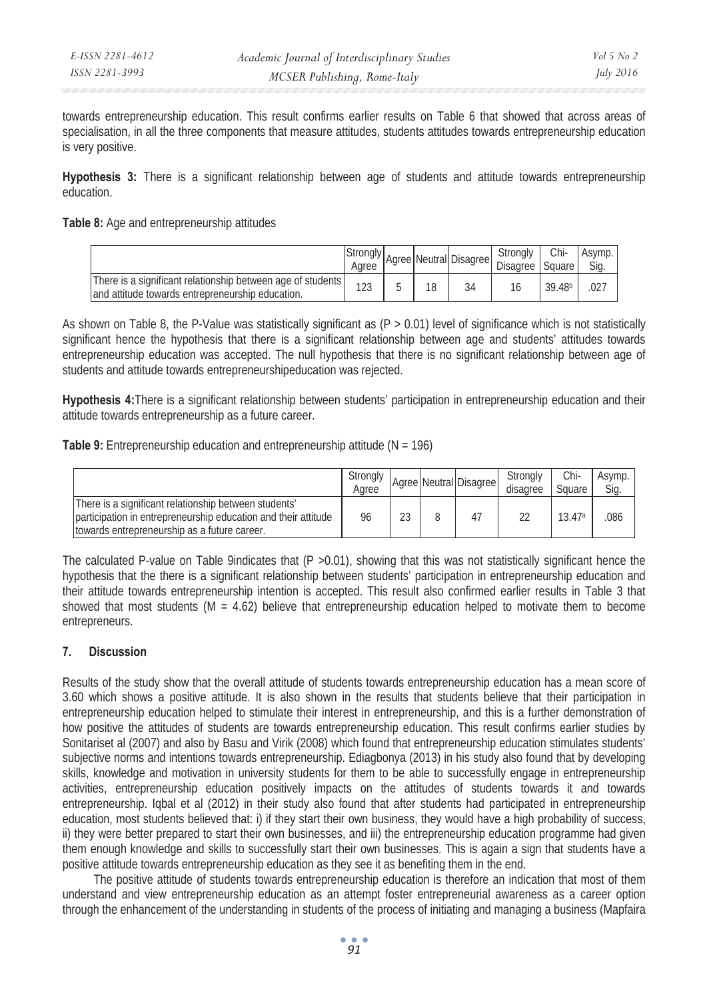| E-ISSN 2281-4612 | Academic Journal of Interdisciplinary Studies | Vol 5 No 2       |
|------------------|-----------------------------------------------|------------------|
| ISSN 2281-3993   | MCSER Publishing, Rome-Italy                  | <i>July 2016</i> |

towards entrepreneurship education. This result confirms earlier results on Table 6 that showed that across areas of specialisation, in all the three components that measure attitudes, students attitudes towards entrepreneurship education is very positive.

**Hypothesis 3:** There is a significant relationship between age of students and attitude towards entrepreneurship education.

#### **Table 8:** Age and entrepreneurship attitudes

|                                                                                                                  | Aaree |  | Agree Neutral Disagree | Stronaly<br>Disagree | Chi-<br>Square     | Asymp.<br>Sig. |
|------------------------------------------------------------------------------------------------------------------|-------|--|------------------------|----------------------|--------------------|----------------|
| There is a significant relationship between age of students<br>land attitude towards entrepreneurship education. | 123   |  | 34                     |                      | 39.48 <sup>b</sup> | 027            |

As shown on Table 8, the P-Value was statistically significant as  $(P > 0.01)$  level of significance which is not statistically significant hence the hypothesis that there is a significant relationship between age and students' attitudes towards entrepreneurship education was accepted. The null hypothesis that there is no significant relationship between age of students and attitude towards entrepreneurshipeducation was rejected.

**Hypothesis 4:**There is a significant relationship between students' participation in entrepreneurship education and their attitude towards entrepreneurship as a future career.

**Table 9:** Entrepreneurship education and entrepreneurship attitude (N = 196)

|                                                                                                                                                                          | Strongly<br>Aaree |    | Agree Neutral Disagree | Stronaly<br>disagree | Chi-<br>Square | Asymp.<br>Sig. |
|--------------------------------------------------------------------------------------------------------------------------------------------------------------------------|-------------------|----|------------------------|----------------------|----------------|----------------|
| There is a significant relationship between students'<br>participation in entrepreneurship education and their attitude<br>Itowards entrepreneurship as a future career. | 96                | 23 | 47                     |                      | 13.47a         | 086            |

The calculated P-value on Table 9indicates that  $(P > 0.01)$ , showing that this was not statistically significant hence the hypothesis that the there is a significant relationship between students' participation in entrepreneurship education and their attitude towards entrepreneurship intention is accepted. This result also confirmed earlier results in Table 3 that showed that most students (M = 4.62) believe that entrepreneurship education helped to motivate them to become entrepreneurs.

#### **7. Discussion**

Results of the study show that the overall attitude of students towards entrepreneurship education has a mean score of 3.60 which shows a positive attitude. It is also shown in the results that students believe that their participation in entrepreneurship education helped to stimulate their interest in entrepreneurship, and this is a further demonstration of how positive the attitudes of students are towards entrepreneurship education. This result confirms earlier studies by Sonitariset al (2007) and also by Basu and Virik (2008) which found that entrepreneurship education stimulates students' subjective norms and intentions towards entrepreneurship. Ediagbonya (2013) in his study also found that by developing skills, knowledge and motivation in university students for them to be able to successfully engage in entrepreneurship activities, entrepreneurship education positively impacts on the attitudes of students towards it and towards entrepreneurship. Iqbal et al (2012) in their study also found that after students had participated in entrepreneurship education, most students believed that: i) if they start their own business, they would have a high probability of success, ii) they were better prepared to start their own businesses, and iii) the entrepreneurship education programme had given them enough knowledge and skills to successfully start their own businesses. This is again a sign that students have a positive attitude towards entrepreneurship education as they see it as benefiting them in the end.

The positive attitude of students towards entrepreneurship education is therefore an indication that most of them understand and view entrepreneurship education as an attempt foster entrepreneurial awareness as a career option through the enhancement of the understanding in students of the process of initiating and managing a business (Mapfaira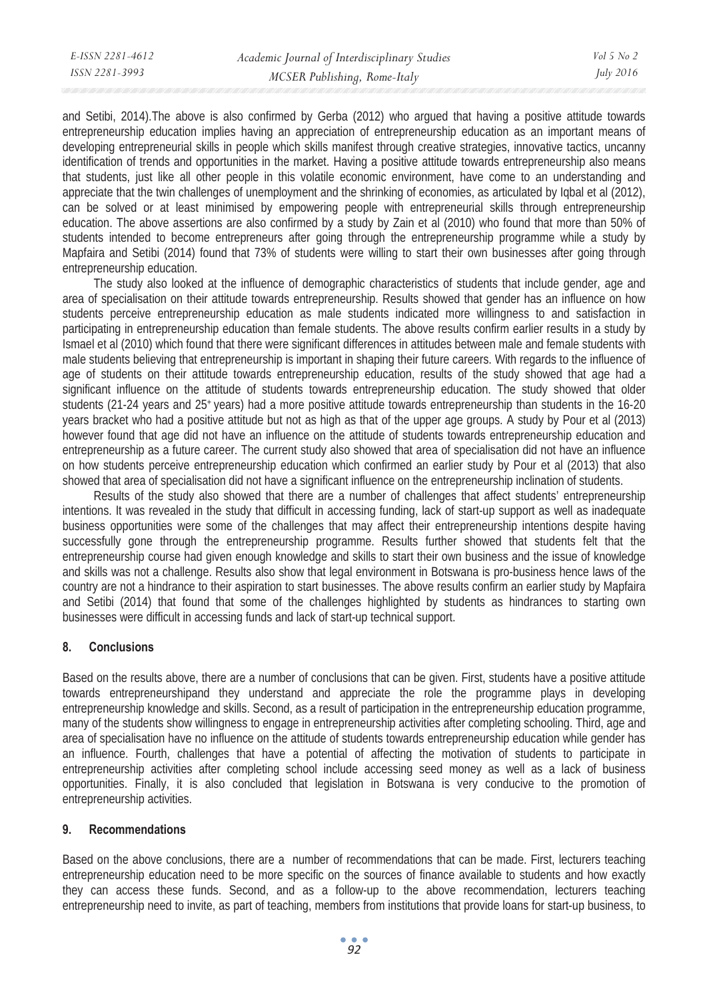and Setibi, 2014).The above is also confirmed by Gerba (2012) who argued that having a positive attitude towards entrepreneurship education implies having an appreciation of entrepreneurship education as an important means of developing entrepreneurial skills in people which skills manifest through creative strategies, innovative tactics, uncanny identification of trends and opportunities in the market. Having a positive attitude towards entrepreneurship also means that students, just like all other people in this volatile economic environment, have come to an understanding and appreciate that the twin challenges of unemployment and the shrinking of economies, as articulated by Iqbal et al (2012), can be solved or at least minimised by empowering people with entrepreneurial skills through entrepreneurship education. The above assertions are also confirmed by a study by Zain et al (2010) who found that more than 50% of students intended to become entrepreneurs after going through the entrepreneurship programme while a study by Mapfaira and Setibi (2014) found that 73% of students were willing to start their own businesses after going through entrepreneurship education.

The study also looked at the influence of demographic characteristics of students that include gender, age and area of specialisation on their attitude towards entrepreneurship. Results showed that gender has an influence on how students perceive entrepreneurship education as male students indicated more willingness to and satisfaction in participating in entrepreneurship education than female students. The above results confirm earlier results in a study by Ismael et al (2010) which found that there were significant differences in attitudes between male and female students with male students believing that entrepreneurship is important in shaping their future careers. With regards to the influence of age of students on their attitude towards entrepreneurship education, results of the study showed that age had a significant influence on the attitude of students towards entrepreneurship education. The study showed that older students (21-24 years and 25+ years) had a more positive attitude towards entrepreneurship than students in the 16-20 years bracket who had a positive attitude but not as high as that of the upper age groups. A study by Pour et al (2013) however found that age did not have an influence on the attitude of students towards entrepreneurship education and entrepreneurship as a future career. The current study also showed that area of specialisation did not have an influence on how students perceive entrepreneurship education which confirmed an earlier study by Pour et al (2013) that also showed that area of specialisation did not have a significant influence on the entrepreneurship inclination of students.

Results of the study also showed that there are a number of challenges that affect students' entrepreneurship intentions. It was revealed in the study that difficult in accessing funding, lack of start-up support as well as inadequate business opportunities were some of the challenges that may affect their entrepreneurship intentions despite having successfully gone through the entrepreneurship programme. Results further showed that students felt that the entrepreneurship course had given enough knowledge and skills to start their own business and the issue of knowledge and skills was not a challenge. Results also show that legal environment in Botswana is pro-business hence laws of the country are not a hindrance to their aspiration to start businesses. The above results confirm an earlier study by Mapfaira and Setibi (2014) that found that some of the challenges highlighted by students as hindrances to starting own businesses were difficult in accessing funds and lack of start-up technical support.

## **8. Conclusions**

Based on the results above, there are a number of conclusions that can be given. First, students have a positive attitude towards entrepreneurshipand they understand and appreciate the role the programme plays in developing entrepreneurship knowledge and skills. Second, as a result of participation in the entrepreneurship education programme, many of the students show willingness to engage in entrepreneurship activities after completing schooling. Third, age and area of specialisation have no influence on the attitude of students towards entrepreneurship education while gender has an influence. Fourth, challenges that have a potential of affecting the motivation of students to participate in entrepreneurship activities after completing school include accessing seed money as well as a lack of business opportunities. Finally, it is also concluded that legislation in Botswana is very conducive to the promotion of entrepreneurship activities.

## **9. Recommendations**

Based on the above conclusions, there are a number of recommendations that can be made. First, lecturers teaching entrepreneurship education need to be more specific on the sources of finance available to students and how exactly they can access these funds. Second, and as a follow-up to the above recommendation, lecturers teaching entrepreneurship need to invite, as part of teaching, members from institutions that provide loans for start-up business, to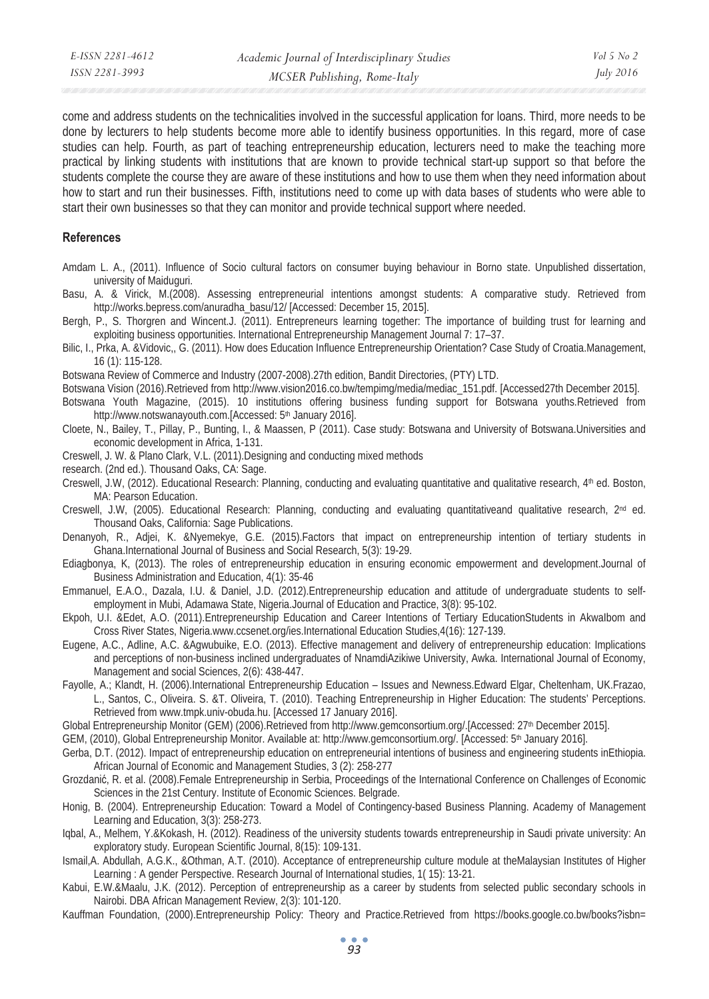come and address students on the technicalities involved in the successful application for loans. Third, more needs to be done by lecturers to help students become more able to identify business opportunities. In this regard, more of case studies can help. Fourth, as part of teaching entrepreneurship education, lecturers need to make the teaching more practical by linking students with institutions that are known to provide technical start-up support so that before the students complete the course they are aware of these institutions and how to use them when they need information about how to start and run their businesses. Fifth, institutions need to come up with data bases of students who were able to start their own businesses so that they can monitor and provide technical support where needed.

#### **References**

- Amdam L. A., (2011). Influence of Socio cultural factors on consumer buying behaviour in Borno state. Unpublished dissertation, university of Maiduguri.
- Basu, A. & Virick, M.(2008). Assessing entrepreneurial intentions amongst students: A comparative study. Retrieved from http://works.bepress.com/anuradha\_basu/12/ [Accessed: December 15, 2015].
- Bergh, P., S. Thorgren and Wincent.J. (2011). Entrepreneurs learning together: The importance of building trust for learning and exploiting business opportunities. International Entrepreneurship Management Journal 7: 17–37.
- Bilic, I., Prka, A. &Vidovic,, G. (2011). How does Education Influence Entrepreneurship Orientation? Case Study of Croatia.Management, 16 (1): 115-128.

Botswana Review of Commerce and Industry (2007-2008).27th edition, Bandit Directories, (PTY) LTD.

- Botswana Vision (2016).Retrieved from http://www.vision2016.co.bw/tempimg/media/mediac\_151.pdf. [Accessed27th December 2015].
- Botswana Youth Magazine, (2015). 10 institutions offering business funding support for Botswana youths.Retrieved from http://www.notswanayouth.com.[Accessed: 5<sup>th</sup> January 2016].
- Cloete, N., Bailey, T., Pillay, P., Bunting, I., & Maassen, P (2011). Case study: Botswana and University of Botswana.Universities and economic development in Africa, 1-131.
- Creswell, J. W. & Plano Clark, V.L. (2011).Designing and conducting mixed methods
- research. (2nd ed.). Thousand Oaks, CA: Sage.
- Creswell, J.W, (2012). Educational Research: Planning, conducting and evaluating quantitative and qualitative research, 4<sup>th</sup> ed. Boston, MA: Pearson Education.
- Creswell, J.W, (2005). Educational Research: Planning, conducting and evaluating quantitativeand qualitative research, 2nd ed. Thousand Oaks, California: Sage Publications.
- Denanyoh, R., Adjei, K. &Nyemekye, G.E. (2015).Factors that impact on entrepreneurship intention of tertiary students in Ghana.International Journal of Business and Social Research, 5(3): 19-29.
- Ediagbonya, K, (2013). The roles of entrepreneurship education in ensuring economic empowerment and development.Journal of Business Administration and Education, 4(1): 35-46
- Emmanuel, E.A.O., Dazala, I.U. & Daniel, J.D. (2012).Entrepreneurship education and attitude of undergraduate students to selfemployment in Mubi, Adamawa State, Nigeria.Journal of Education and Practice, 3(8): 95-102.
- Ekpoh, U.I. &Edet, A.O. (2011).Entrepreneurship Education and Career Intentions of Tertiary EducationStudents in AkwaIbom and Cross River States, Nigeria.www.ccsenet.org/ies.International Education Studies,4(16): 127-139.
- Eugene, A.C., Adline, A.C. &Agwubuike, E.O. (2013). Effective management and delivery of entrepreneurship education: Implications and perceptions of non-business inclined undergraduates of NnamdiAzikiwe University, Awka. International Journal of Economy, Management and social Sciences, 2(6): 438-447.
- Fayolle, A.; Klandt, H. (2006).International Entrepreneurship Education Issues and Newness.Edward Elgar, Cheltenham, UK.Frazao, L., Santos, C., Oliveira. S. &T. Oliveira, T. (2010). Teaching Entrepreneurship in Higher Education: The students' Perceptions. Retrieved from www.tmpk.univ-obuda.hu. [Accessed 17 January 2016].
- Global Entrepreneurship Monitor (GEM) (2006).Retrieved from http://www.gemconsortium.org/.[Accessed: 27th December 2015].

GEM, (2010), Global Entrepreneurship Monitor. Available at: http://www.gemconsortium.org/. [Accessed: 5<sup>th</sup> January 2016].

- Gerba, D.T. (2012). Impact of entrepreneurship education on entrepreneurial intentions of business and engineering students inEthiopia. African Journal of Economic and Management Studies, 3 (2): 258-277
- Grozdanić, R. et al. (2008).Female Entrepreneurship in Serbia, Proceedings of the International Conference on Challenges of Economic Sciences in the 21st Century. Institute of Economic Sciences. Belgrade.
- Honig, B. (2004). Entrepreneurship Education: Toward a Model of Contingency-based Business Planning. Academy of Management Learning and Education, 3(3): 258-273.
- Iqbal, A., Melhem, Y.&Kokash, H. (2012). Readiness of the university students towards entrepreneurship in Saudi private university: An exploratory study. European Scientific Journal, 8(15): 109-131.
- Ismail,A. Abdullah, A.G.K., &Othman, A.T. (2010). Acceptance of entrepreneurship culture module at theMalaysian Institutes of Higher Learning : A gender Perspective. Research Journal of International studies, 1( 15): 13-21.
- Kabui, E.W.&Maalu, J.K. (2012). Perception of entrepreneurship as a career by students from selected public secondary schools in Nairobi. DBA African Management Review, 2(3): 101-120.
- Kauffman Foundation, (2000).Entrepreneurship Policy: Theory and Practice.Retrieved from https://books.google.co.bw/books?isbn=